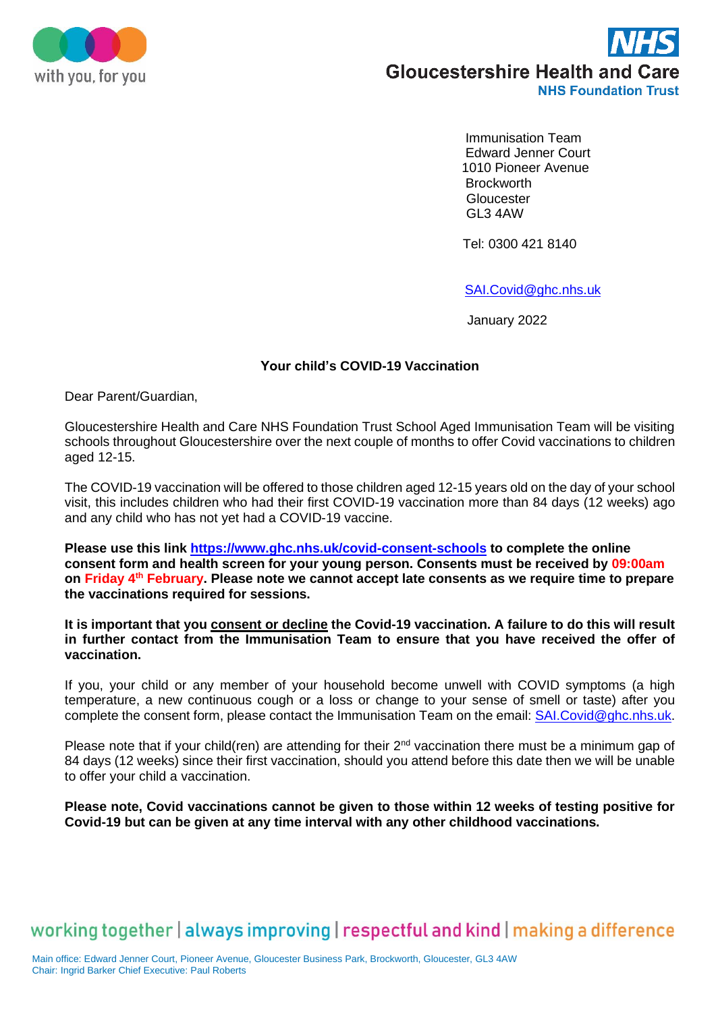



 Immunisation Team Edward Jenner Court 1010 Pioneer Avenue **Brockworth**  Gloucester GL3 4AW

Tel: 0300 421 8140

[SAI.Covid@ghc.nhs.uk](mailto:SAI.Covid@ghc.nhs.uk)

January 2022

## **Your child's COVID-19 Vaccination**

Dear Parent/Guardian,

Gloucestershire Health and Care NHS Foundation Trust School Aged Immunisation Team will be visiting schools throughout Gloucestershire over the next couple of months to offer Covid vaccinations to children aged 12-15.

The COVID-19 vaccination will be offered to those children aged 12-15 years old on the day of your school visit, this includes children who had their first COVID-19 vaccination more than 84 days (12 weeks) ago and any child who has not yet had a COVID-19 vaccine.

**Please use this link<https://www.ghc.nhs.uk/covid-consent-schools> to complete the online consent form and health screen for your young person. Consents must be received by 09:00am on Friday 4 th February. Please note we cannot accept late consents as we require time to prepare the vaccinations required for sessions.**

**It is important that you consent or decline the Covid-19 vaccination. A failure to do this will result in further contact from the Immunisation Team to ensure that you have received the offer of vaccination.**

If you, your child or any member of your household become unwell with COVID symptoms (a high temperature, a new continuous cough or a loss or change to your sense of smell or taste) after you complete the consent form, please contact the Immunisation Team on the email: [SAI.Covid@ghc.nhs.uk.](mailto:SAI.Covid@ghc.nhs.uk)

Please note that if your child(ren) are attending for their 2<sup>nd</sup> vaccination there must be a minimum gap of 84 days (12 weeks) since their first vaccination, should you attend before this date then we will be unable to offer your child a vaccination.

**Please note, Covid vaccinations cannot be given to those within 12 weeks of testing positive for Covid-19 but can be given at any time interval with any other childhood vaccinations.** 

## working together | always improving | respectful and kind | making a difference